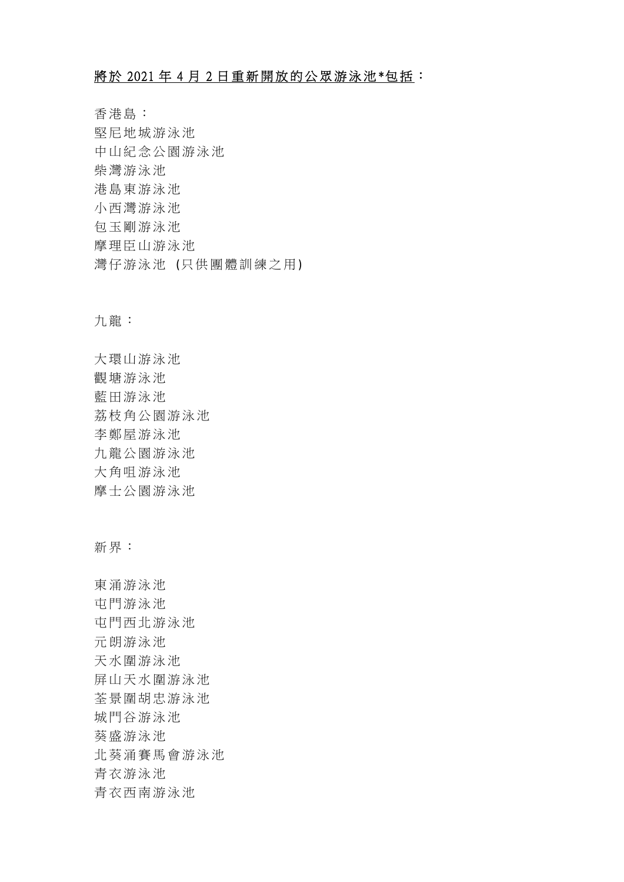## 將於 2021 年 4 月 2 日重新開放的公眾游泳池\*包括:

香港島: 堅尼地城游泳池 中山紀念公園游泳池 柴灣游泳池 港島東游泳池 小西灣游泳池 包玉剛游泳池 摩理臣山游泳池 灣仔游泳池 (只供團體訓練之用)

九龍:

大環山游泳池 觀塘游泳池 藍田游泳池 荔枝角公園游泳池 李鄭屋游泳池 九龍公園游泳池 大角咀游泳池 摩士公園游泳池

新界:

東涌游泳池 屯門游泳池 屯門西北游泳池 元朗游泳池 天水圍游泳池 屏山天水圍游泳池 荃景圍胡忠游泳池 城門谷游泳池 葵盛游泳池 北葵涌賽馬會游泳池 青衣游泳池 青衣西南游泳池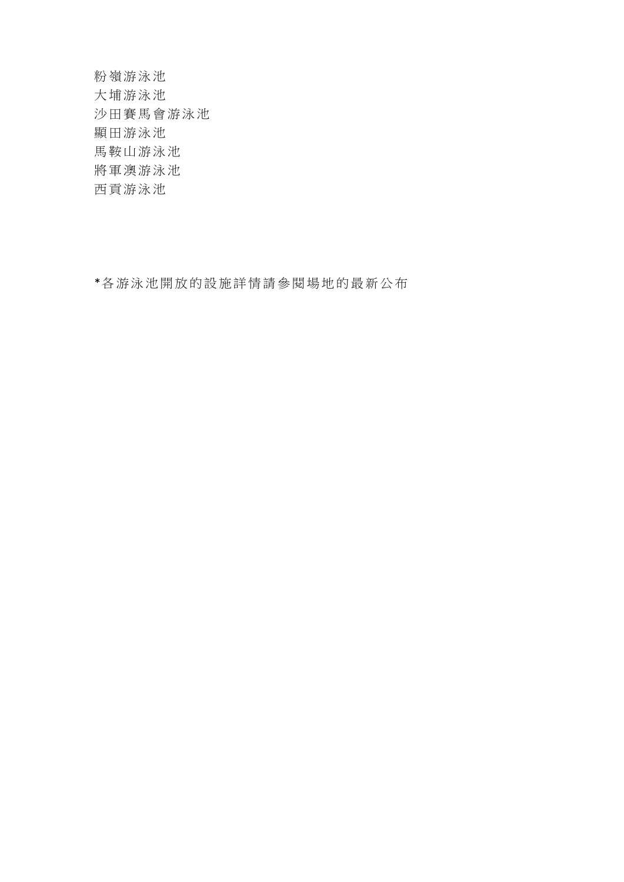粉嶺游泳池 大埔游泳池 沙田賽馬會游泳池 顯田游泳池 馬鞍山游泳池 將軍澳游泳池 西貢游泳池

\*各游泳池開放的設施詳情請參閱場地的最新公布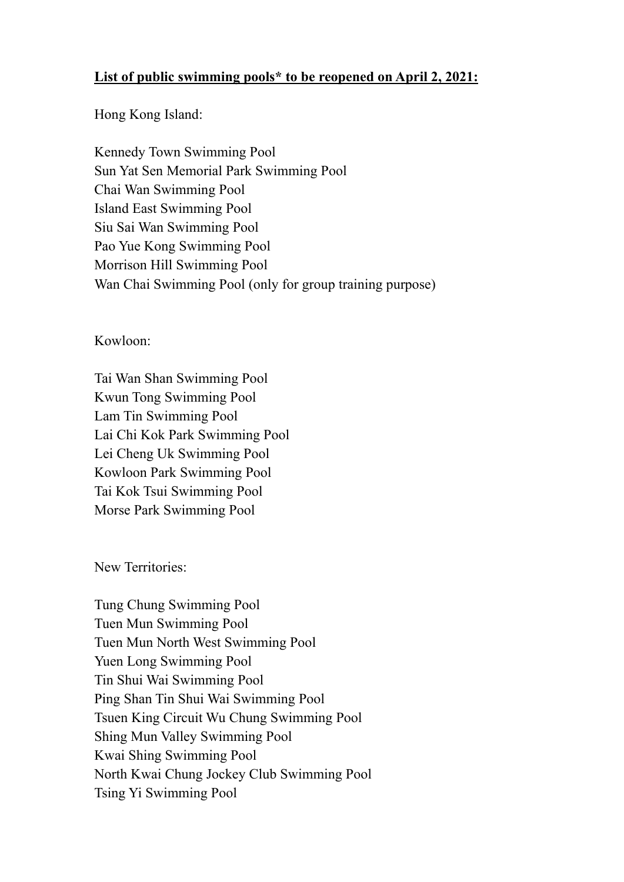## **List of public swimming pools\* to be reopened on April 2, 2021:**

Hong Kong Island:

Kennedy Town Swimming Pool Sun Yat Sen Memorial Park Swimming Pool Chai Wan Swimming Pool Island East Swimming Pool Siu Sai Wan Swimming Pool Pao Yue Kong Swimming Pool Morrison Hill Swimming Pool Wan Chai Swimming Pool (only for group training purpose)

Kowloon:

Tai Wan Shan Swimming Pool Kwun Tong Swimming Pool Lam Tin Swimming Pool Lai Chi Kok Park Swimming Pool Lei Cheng Uk Swimming Pool Kowloon Park Swimming Pool Tai Kok Tsui Swimming Pool Morse Park Swimming Pool

New Territories:

Tung Chung Swimming Pool Tuen Mun Swimming Pool Tuen Mun North West Swimming Pool Yuen Long Swimming Pool Tin Shui Wai Swimming Pool Ping Shan Tin Shui Wai Swimming Pool Tsuen King Circuit Wu Chung Swimming Pool Shing Mun Valley Swimming Pool Kwai Shing Swimming Pool North Kwai Chung Jockey Club Swimming Pool Tsing Yi Swimming Pool